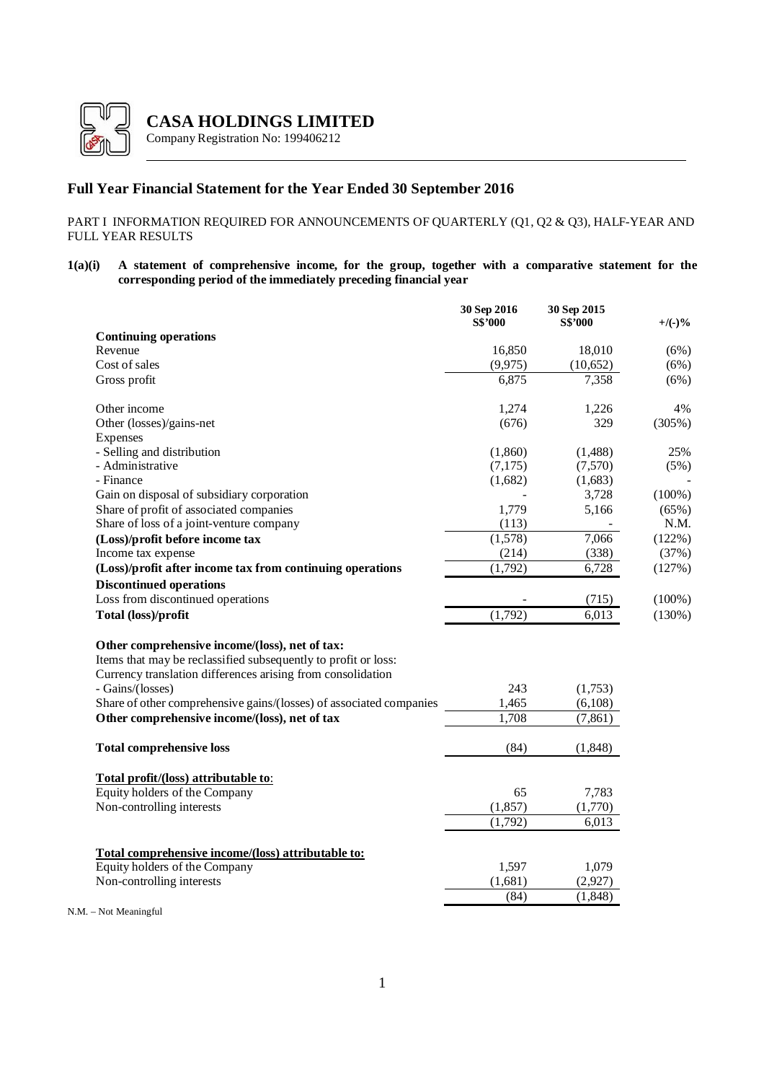

**CASA HOLDINGS LIMITED**

Company Registration No: 199406212

# **Full Year Financial Statement for the Year Ended 30 September 2016**

PART I INFORMATION REQUIRED FOR ANNOUNCEMENTS OF QUARTERLY (Q1, Q2 & Q3), HALF-YEAR AND FULL YEAR RESULTS

**1(a)(i) A statement of comprehensive income, for the group, together with a comparative statement for the corresponding period of the immediately preceding financial year**

|                                                                     | 30 Sep 2016<br>S\$'000 | 30 Sep 2015<br>S\$'000 | $+$ /(-)% |
|---------------------------------------------------------------------|------------------------|------------------------|-----------|
| <b>Continuing operations</b>                                        |                        |                        |           |
| Revenue                                                             | 16,850                 | 18,010                 | (6%)      |
| Cost of sales                                                       | (9,975)                | (10,652)               | (6%)      |
| Gross profit                                                        | 6,875                  | 7,358                  | (6%)      |
| Other income                                                        | 1,274                  | 1,226                  | 4%        |
| Other (losses)/gains-net                                            | (676)                  | 329                    | (305%)    |
| Expenses                                                            |                        |                        |           |
| - Selling and distribution                                          | (1,860)                | (1, 488)               | 25%       |
| - Administrative                                                    | (7,175)                | (7,570)                | (5%)      |
| - Finance                                                           | (1,682)                | (1,683)                |           |
| Gain on disposal of subsidiary corporation                          |                        | 3,728                  | $(100\%)$ |
| Share of profit of associated companies                             | 1,779                  | 5,166                  | (65%)     |
| Share of loss of a joint-venture company                            | (113)                  |                        | N.M.      |
| (Loss)/profit before income tax                                     | (1,578)                | 7,066                  | (122%)    |
| Income tax expense                                                  | (214)                  | (338)                  | (37%)     |
| (Loss)/profit after income tax from continuing operations           | (1,792)                | 6,728                  | (127%)    |
| <b>Discontinued operations</b>                                      |                        |                        |           |
| Loss from discontinued operations                                   |                        | (715)                  | $(100\%)$ |
| Total (loss)/profit                                                 | (1,792)                | 6,013                  | (130%)    |
| Other comprehensive income/(loss), net of tax:                      |                        |                        |           |
| Items that may be reclassified subsequently to profit or loss:      |                        |                        |           |
| Currency translation differences arising from consolidation         |                        |                        |           |
| - Gains/(losses)                                                    | 243                    | (1,753)                |           |
| Share of other comprehensive gains/(losses) of associated companies | 1,465                  | (6,108)                |           |
| Other comprehensive income/(loss), net of tax                       | 1,708                  | (7, 861)               |           |
|                                                                     |                        |                        |           |
| <b>Total comprehensive loss</b>                                     | (84)                   | (1,848)                |           |
| Total profit/(loss) attributable to:                                |                        |                        |           |
| Equity holders of the Company                                       | 65                     | 7,783                  |           |
| Non-controlling interests                                           | (1,857)                | (1,770)                |           |
|                                                                     | (1,792)                | 6,013                  |           |
| Total comprehensive income/(loss) attributable to:                  |                        |                        |           |
| Equity holders of the Company                                       | 1,597                  | 1,079                  |           |
| Non-controlling interests                                           | (1,681)                | (2,927)                |           |
|                                                                     | (84)                   | (1, 848)               |           |
| $N.M. - Not Meaningful$                                             |                        |                        |           |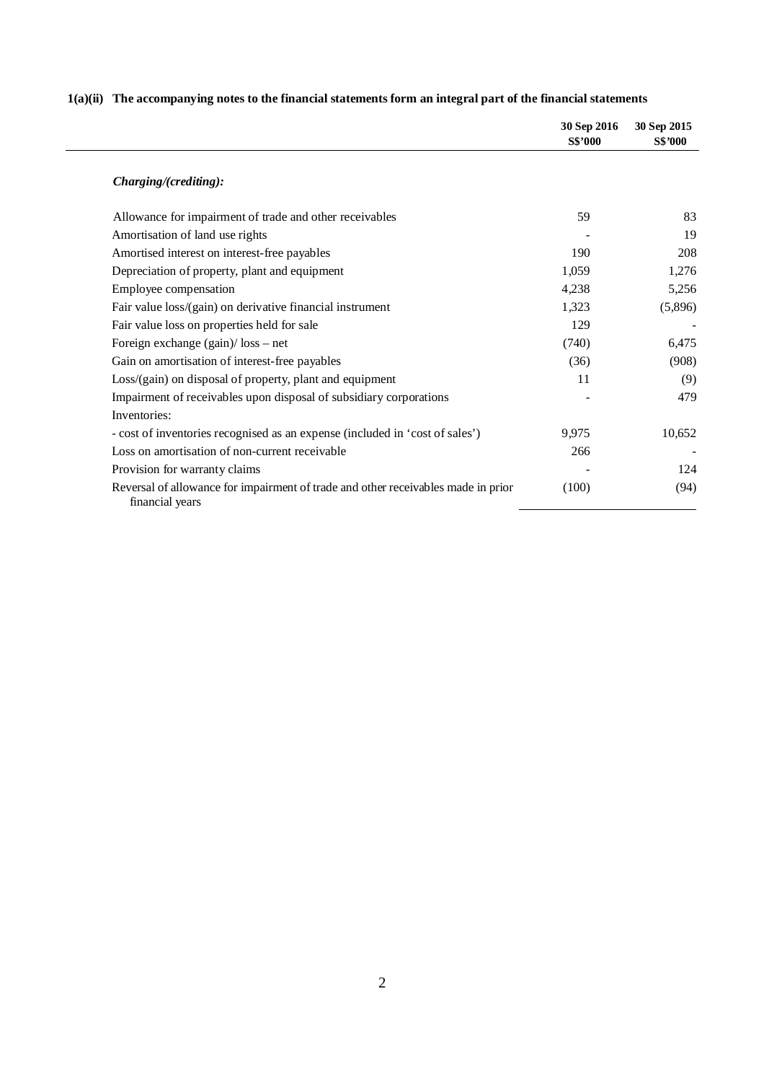|                                                                                                      | 30 Sep 2016<br>S\$'000 | 30 Sep 2015<br><b>S\$'000</b> |
|------------------------------------------------------------------------------------------------------|------------------------|-------------------------------|
| Charging/(crediting):                                                                                |                        |                               |
| Allowance for impairment of trade and other receivables                                              | 59                     | 83                            |
| Amortisation of land use rights                                                                      |                        | 19                            |
| Amortised interest on interest-free payables                                                         | 190                    | 208                           |
| Depreciation of property, plant and equipment                                                        | 1,059                  | 1,276                         |
| Employee compensation                                                                                | 4,238                  | 5,256                         |
| Fair value loss/(gain) on derivative financial instrument                                            | 1,323                  | (5,896)                       |
| Fair value loss on properties held for sale                                                          | 129                    |                               |
| Foreign exchange $(gain)/$ loss – net                                                                | (740)                  | 6,475                         |
| Gain on amortisation of interest-free payables                                                       | (36)                   | (908)                         |
| Loss/(gain) on disposal of property, plant and equipment                                             | 11                     | (9)                           |
| Impairment of receivables upon disposal of subsidiary corporations                                   |                        | 479                           |
| Inventories:                                                                                         |                        |                               |
| - cost of inventories recognised as an expense (included in 'cost of sales')                         | 9.975                  | 10,652                        |
| Loss on amortisation of non-current receivable                                                       | 266                    |                               |
| Provision for warranty claims                                                                        |                        | 124                           |
| Reversal of allowance for impairment of trade and other receivables made in prior<br>financial years | (100)                  | (94)                          |

# **1(a)(ii) The accompanying notes to the financial statements form an integral part of the financial statements**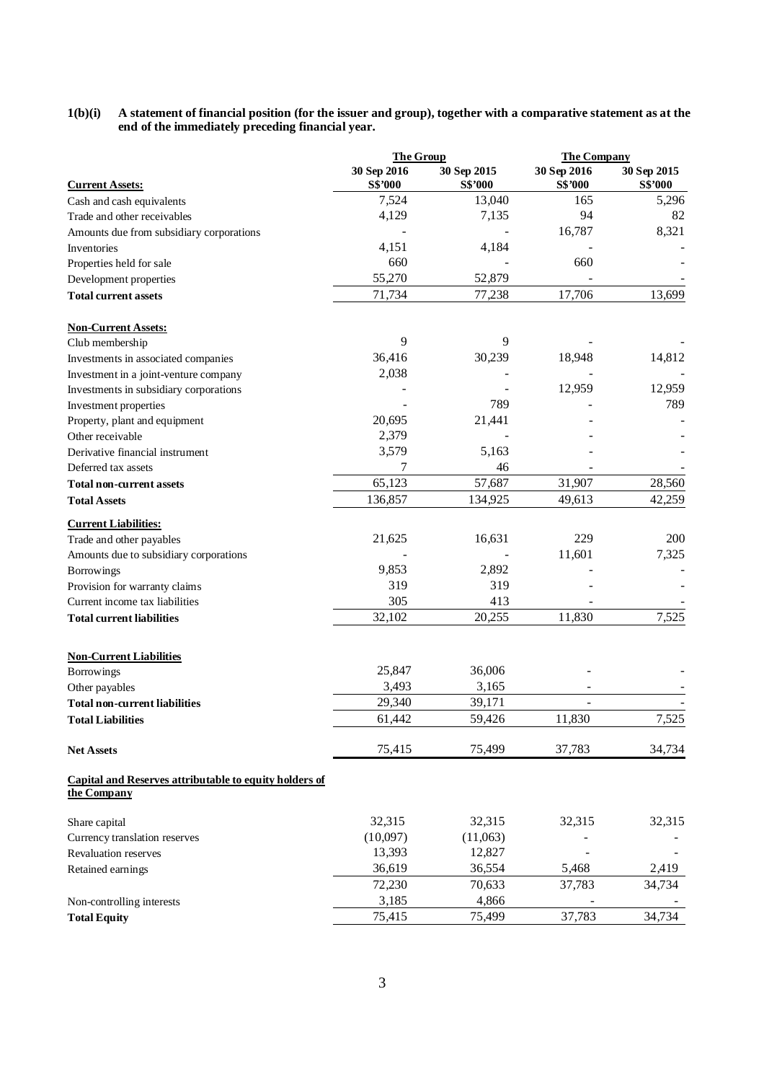### **1(b)(i) A statement of financial position (for the issuer and group), together with a comparative statement as at the end of the immediately preceding financial year.**

|                                                                              | <b>The Group</b>              |                        |                        | <b>The Company</b>            |  |
|------------------------------------------------------------------------------|-------------------------------|------------------------|------------------------|-------------------------------|--|
| <b>Current Assets:</b>                                                       | 30 Sep 2016<br><b>S\$'000</b> | 30 Sep 2015<br>S\$'000 | 30 Sep 2016<br>S\$'000 | 30 Sep 2015<br><b>S\$'000</b> |  |
| Cash and cash equivalents                                                    | 7,524                         | 13,040                 | 165                    | 5,296                         |  |
| Trade and other receivables                                                  | 4,129                         | 7,135                  | 94                     | 82                            |  |
| Amounts due from subsidiary corporations                                     |                               |                        | 16,787                 | 8,321                         |  |
| Inventories                                                                  | 4,151                         | 4,184                  |                        |                               |  |
| Properties held for sale                                                     | 660                           |                        | 660                    |                               |  |
| Development properties                                                       | 55,270                        | 52,879                 |                        |                               |  |
| <b>Total current assets</b>                                                  | 71,734                        | 77,238                 | 17,706                 | 13,699                        |  |
| <b>Non-Current Assets:</b>                                                   |                               |                        |                        |                               |  |
| Club membership                                                              | 9                             | 9                      |                        |                               |  |
| Investments in associated companies                                          | 36,416                        | 30,239                 | 18,948                 | 14,812                        |  |
| Investment in a joint-venture company                                        | 2,038                         |                        |                        |                               |  |
| Investments in subsidiary corporations                                       |                               |                        | 12,959                 | 12,959                        |  |
| Investment properties                                                        |                               | 789                    |                        | 789                           |  |
| Property, plant and equipment                                                | 20,695                        | 21,441                 |                        |                               |  |
| Other receivable                                                             | 2,379                         |                        |                        |                               |  |
| Derivative financial instrument                                              | 3,579                         | 5,163                  |                        |                               |  |
| Deferred tax assets                                                          | 7                             | 46                     |                        |                               |  |
| <b>Total non-current assets</b>                                              | 65,123                        | 57,687                 | 31,907                 | 28,560                        |  |
| <b>Total Assets</b>                                                          | 136,857                       | 134,925                | 49,613                 | 42,259                        |  |
| <b>Current Liabilities:</b>                                                  |                               |                        |                        |                               |  |
| Trade and other payables                                                     | 21,625                        | 16,631                 | 229                    | 200                           |  |
| Amounts due to subsidiary corporations                                       |                               |                        | 11,601                 | 7,325                         |  |
| <b>Borrowings</b>                                                            | 9,853                         | 2,892                  |                        |                               |  |
| Provision for warranty claims                                                | 319                           | 319                    |                        |                               |  |
| Current income tax liabilities                                               | 305                           | 413                    |                        |                               |  |
| <b>Total current liabilities</b>                                             | 32,102                        | 20,255                 | 11,830                 | 7,525                         |  |
| <b>Non-Current Liabilities</b>                                               |                               |                        |                        |                               |  |
| <b>Borrowings</b>                                                            | 25,847                        | 36,006                 |                        |                               |  |
| Other payables                                                               | 3,493                         | 3,165                  |                        |                               |  |
| <b>Total non-current liabilities</b>                                         | 29,340                        | 39,171                 |                        |                               |  |
| <b>Total Liabilities</b>                                                     | 61,442                        | 59,426                 | 11,830                 | 7,525                         |  |
| <b>Net Assets</b>                                                            | 75,415                        | 75,499                 | 37,783                 | 34,734                        |  |
| <b>Capital and Reserves attributable to equity holders of</b><br>the Company |                               |                        |                        |                               |  |
| Share capital                                                                | 32,315                        | 32,315                 | 32,315                 | 32,315                        |  |
| Currency translation reserves                                                | (10,097)                      | (11,063)               |                        |                               |  |
| <b>Revaluation reserves</b>                                                  | 13,393                        | 12,827                 |                        |                               |  |
| Retained earnings                                                            | 36,619                        | 36,554                 | 5,468                  | 2,419                         |  |
|                                                                              | 72,230                        | 70,633                 | 37,783                 | 34,734                        |  |
| Non-controlling interests                                                    | 3,185                         | 4,866                  |                        |                               |  |
| <b>Total Equity</b>                                                          | 75,415                        | 75,499                 | 37,783                 | 34,734                        |  |
|                                                                              |                               |                        |                        |                               |  |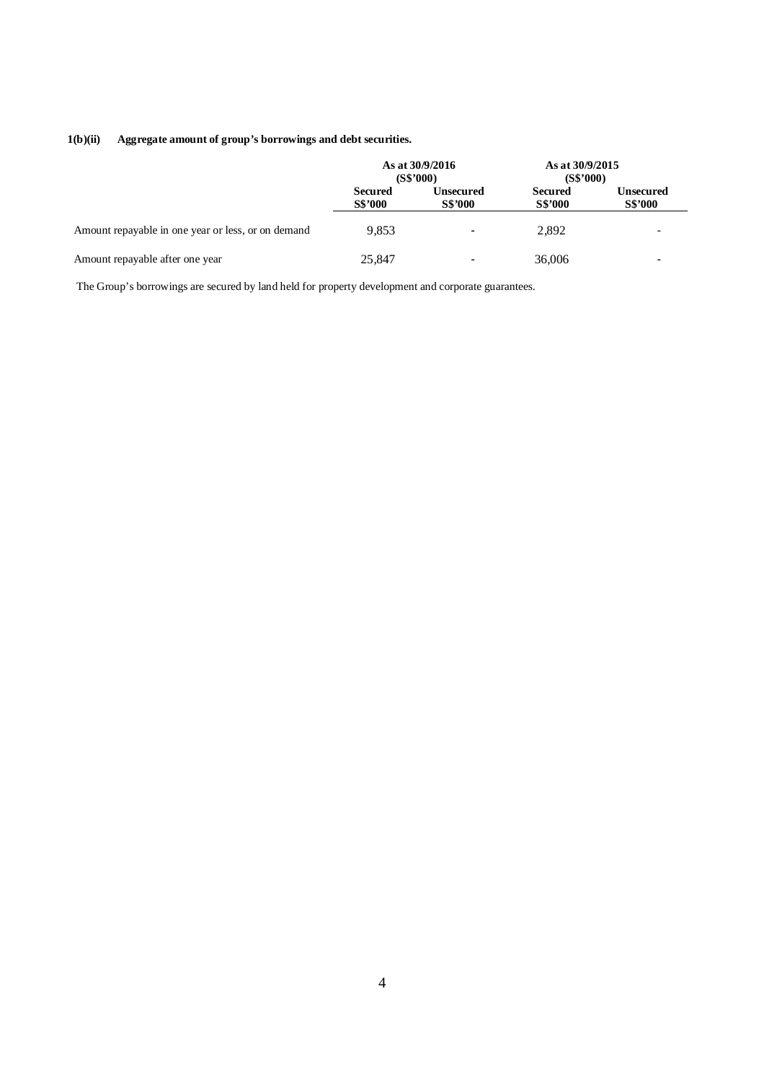## **1(b)(ii) Aggregate amount of group's borrowings and debt securities.**

|                                                    | As at 30/9/2016<br>(S\$'000)     |                                    | As at 30/9/2015<br>(S\$'000)     |                                    |
|----------------------------------------------------|----------------------------------|------------------------------------|----------------------------------|------------------------------------|
|                                                    | <b>Secured</b><br><b>S\$'000</b> | <b>Unsecured</b><br><b>S\$'000</b> | <b>Secured</b><br><b>S\$'000</b> | <b>Unsecured</b><br><b>S\$'000</b> |
| Amount repayable in one year or less, or on demand | 9.853                            | $\blacksquare$                     | 2,892                            |                                    |
| Amount repayable after one year                    | 25,847                           |                                    | 36,006                           | $\overline{\phantom{a}}$           |

The Group's borrowings are secured by land held for property development and corporate guarantees.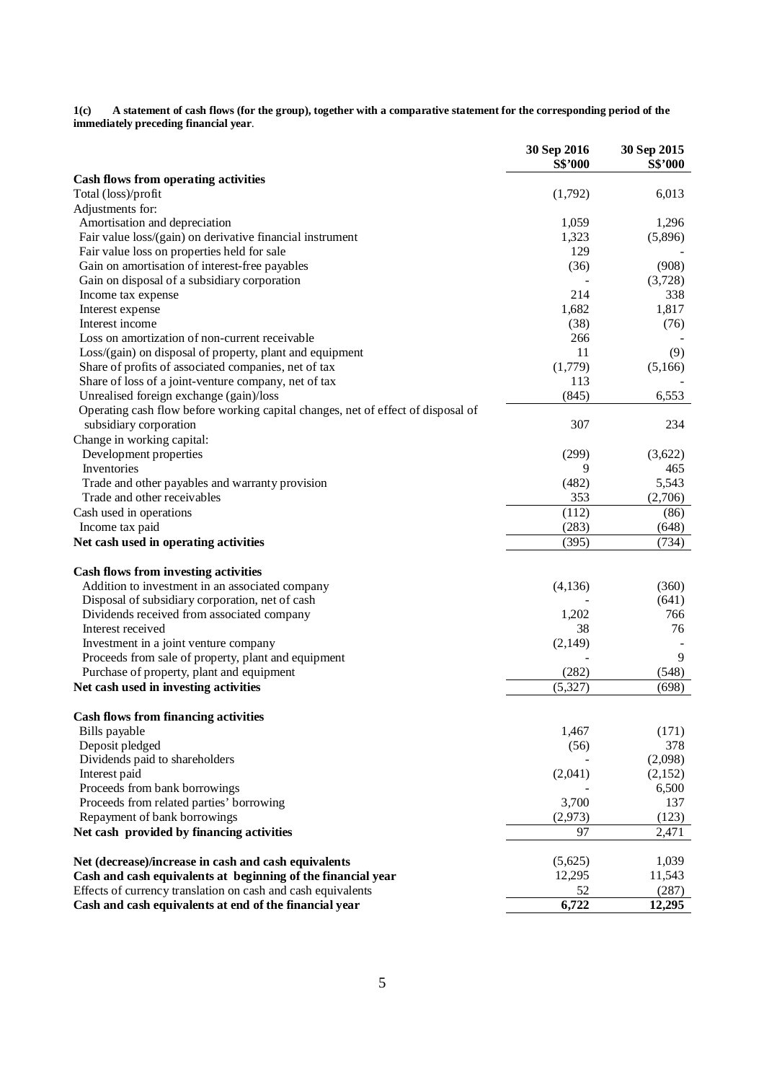**1(c) A statement of cash flows (for the group), together with a comparative statement for the corresponding period of the immediately preceding financial year**.

| <b>Cash flows from operating activities</b><br>(1,792)<br>6,013<br>Total (loss)/profit<br>Adjustments for:<br>Amortisation and depreciation<br>1,059<br>1,296<br>Fair value loss/(gain) on derivative financial instrument<br>(5,896)<br>1,323<br>Fair value loss on properties held for sale<br>129<br>Gain on amortisation of interest-free payables<br>(908)<br>(36)<br>Gain on disposal of a subsidiary corporation<br>(3,728)<br>214<br>338<br>Income tax expense<br>1,682<br>1,817<br>Interest expense<br>Interest income<br>(38)<br>(76)<br>Loss on amortization of non-current receivable<br>266<br>11<br>(9)<br>Loss/(gain) on disposal of property, plant and equipment<br>Share of profits of associated companies, net of tax<br>(1,779)<br>(5,166)<br>Share of loss of a joint-venture company, net of tax<br>113<br>Unrealised foreign exchange (gain)/loss<br>(845)<br>6,553<br>Operating cash flow before working capital changes, net of effect of disposal of<br>subsidiary corporation<br>307<br>234<br>Change in working capital:<br>Development properties<br>(299)<br>(3,622)<br>Inventories<br>9<br>465<br>(482)<br>5,543<br>Trade and other payables and warranty provision<br>Trade and other receivables<br>353<br>(2,706)<br>Cash used in operations<br>(112)<br>(86)<br>(283)<br>Income tax paid<br>(648)<br>(395)<br>(734)<br>Net cash used in operating activities<br><b>Cash flows from investing activities</b><br>Addition to investment in an associated company<br>(4,136)<br>(360)<br>Disposal of subsidiary corporation, net of cash<br>(641)<br>Dividends received from associated company<br>766<br>1,202<br>Interest received<br>76<br>38<br>Investment in a joint venture company<br>(2,149)<br>9<br>Proceeds from sale of property, plant and equipment<br>Purchase of property, plant and equipment<br>(282)<br>(548)<br>(5,327)<br>(698)<br>Net cash used in investing activities<br><b>Cash flows from financing activities</b><br>1,467<br>(171)<br>Bills payable<br>Deposit pledged<br>378<br>(56)<br>Dividends paid to shareholders<br>(2,098)<br>(2,041)<br>Interest paid<br>(2,152)<br>Proceeds from bank borrowings<br>6,500<br>Proceeds from related parties' borrowing<br>3,700<br>137<br>Repayment of bank borrowings<br>(2,973)<br>(123)<br>Net cash provided by financing activities<br>2,471<br>97<br>Net (decrease)/increase in cash and cash equivalents<br>(5,625)<br>1,039<br>Cash and cash equivalents at beginning of the financial year<br>11,543<br>12,295<br>Effects of currency translation on cash and cash equivalents<br>52<br>(287)<br>Cash and cash equivalents at end of the financial year<br>6,722<br>12,295 | 30 Sep 2016 | 30 Sep 2015 |
|-----------------------------------------------------------------------------------------------------------------------------------------------------------------------------------------------------------------------------------------------------------------------------------------------------------------------------------------------------------------------------------------------------------------------------------------------------------------------------------------------------------------------------------------------------------------------------------------------------------------------------------------------------------------------------------------------------------------------------------------------------------------------------------------------------------------------------------------------------------------------------------------------------------------------------------------------------------------------------------------------------------------------------------------------------------------------------------------------------------------------------------------------------------------------------------------------------------------------------------------------------------------------------------------------------------------------------------------------------------------------------------------------------------------------------------------------------------------------------------------------------------------------------------------------------------------------------------------------------------------------------------------------------------------------------------------------------------------------------------------------------------------------------------------------------------------------------------------------------------------------------------------------------------------------------------------------------------------------------------------------------------------------------------------------------------------------------------------------------------------------------------------------------------------------------------------------------------------------------------------------------------------------------------------------------------------------------------------------------------------------------------------------------------------------------------------------------------------------------------------------------------------------------------------------------------------------------------------------------------------------------------------------------------------------------------------|-------------|-------------|
|                                                                                                                                                                                                                                                                                                                                                                                                                                                                                                                                                                                                                                                                                                                                                                                                                                                                                                                                                                                                                                                                                                                                                                                                                                                                                                                                                                                                                                                                                                                                                                                                                                                                                                                                                                                                                                                                                                                                                                                                                                                                                                                                                                                                                                                                                                                                                                                                                                                                                                                                                                                                                                                                                         | S\$'000     | S\$'000     |
|                                                                                                                                                                                                                                                                                                                                                                                                                                                                                                                                                                                                                                                                                                                                                                                                                                                                                                                                                                                                                                                                                                                                                                                                                                                                                                                                                                                                                                                                                                                                                                                                                                                                                                                                                                                                                                                                                                                                                                                                                                                                                                                                                                                                                                                                                                                                                                                                                                                                                                                                                                                                                                                                                         |             |             |
|                                                                                                                                                                                                                                                                                                                                                                                                                                                                                                                                                                                                                                                                                                                                                                                                                                                                                                                                                                                                                                                                                                                                                                                                                                                                                                                                                                                                                                                                                                                                                                                                                                                                                                                                                                                                                                                                                                                                                                                                                                                                                                                                                                                                                                                                                                                                                                                                                                                                                                                                                                                                                                                                                         |             |             |
|                                                                                                                                                                                                                                                                                                                                                                                                                                                                                                                                                                                                                                                                                                                                                                                                                                                                                                                                                                                                                                                                                                                                                                                                                                                                                                                                                                                                                                                                                                                                                                                                                                                                                                                                                                                                                                                                                                                                                                                                                                                                                                                                                                                                                                                                                                                                                                                                                                                                                                                                                                                                                                                                                         |             |             |
|                                                                                                                                                                                                                                                                                                                                                                                                                                                                                                                                                                                                                                                                                                                                                                                                                                                                                                                                                                                                                                                                                                                                                                                                                                                                                                                                                                                                                                                                                                                                                                                                                                                                                                                                                                                                                                                                                                                                                                                                                                                                                                                                                                                                                                                                                                                                                                                                                                                                                                                                                                                                                                                                                         |             |             |
|                                                                                                                                                                                                                                                                                                                                                                                                                                                                                                                                                                                                                                                                                                                                                                                                                                                                                                                                                                                                                                                                                                                                                                                                                                                                                                                                                                                                                                                                                                                                                                                                                                                                                                                                                                                                                                                                                                                                                                                                                                                                                                                                                                                                                                                                                                                                                                                                                                                                                                                                                                                                                                                                                         |             |             |
|                                                                                                                                                                                                                                                                                                                                                                                                                                                                                                                                                                                                                                                                                                                                                                                                                                                                                                                                                                                                                                                                                                                                                                                                                                                                                                                                                                                                                                                                                                                                                                                                                                                                                                                                                                                                                                                                                                                                                                                                                                                                                                                                                                                                                                                                                                                                                                                                                                                                                                                                                                                                                                                                                         |             |             |
|                                                                                                                                                                                                                                                                                                                                                                                                                                                                                                                                                                                                                                                                                                                                                                                                                                                                                                                                                                                                                                                                                                                                                                                                                                                                                                                                                                                                                                                                                                                                                                                                                                                                                                                                                                                                                                                                                                                                                                                                                                                                                                                                                                                                                                                                                                                                                                                                                                                                                                                                                                                                                                                                                         |             |             |
|                                                                                                                                                                                                                                                                                                                                                                                                                                                                                                                                                                                                                                                                                                                                                                                                                                                                                                                                                                                                                                                                                                                                                                                                                                                                                                                                                                                                                                                                                                                                                                                                                                                                                                                                                                                                                                                                                                                                                                                                                                                                                                                                                                                                                                                                                                                                                                                                                                                                                                                                                                                                                                                                                         |             |             |
|                                                                                                                                                                                                                                                                                                                                                                                                                                                                                                                                                                                                                                                                                                                                                                                                                                                                                                                                                                                                                                                                                                                                                                                                                                                                                                                                                                                                                                                                                                                                                                                                                                                                                                                                                                                                                                                                                                                                                                                                                                                                                                                                                                                                                                                                                                                                                                                                                                                                                                                                                                                                                                                                                         |             |             |
|                                                                                                                                                                                                                                                                                                                                                                                                                                                                                                                                                                                                                                                                                                                                                                                                                                                                                                                                                                                                                                                                                                                                                                                                                                                                                                                                                                                                                                                                                                                                                                                                                                                                                                                                                                                                                                                                                                                                                                                                                                                                                                                                                                                                                                                                                                                                                                                                                                                                                                                                                                                                                                                                                         |             |             |
|                                                                                                                                                                                                                                                                                                                                                                                                                                                                                                                                                                                                                                                                                                                                                                                                                                                                                                                                                                                                                                                                                                                                                                                                                                                                                                                                                                                                                                                                                                                                                                                                                                                                                                                                                                                                                                                                                                                                                                                                                                                                                                                                                                                                                                                                                                                                                                                                                                                                                                                                                                                                                                                                                         |             |             |
|                                                                                                                                                                                                                                                                                                                                                                                                                                                                                                                                                                                                                                                                                                                                                                                                                                                                                                                                                                                                                                                                                                                                                                                                                                                                                                                                                                                                                                                                                                                                                                                                                                                                                                                                                                                                                                                                                                                                                                                                                                                                                                                                                                                                                                                                                                                                                                                                                                                                                                                                                                                                                                                                                         |             |             |
|                                                                                                                                                                                                                                                                                                                                                                                                                                                                                                                                                                                                                                                                                                                                                                                                                                                                                                                                                                                                                                                                                                                                                                                                                                                                                                                                                                                                                                                                                                                                                                                                                                                                                                                                                                                                                                                                                                                                                                                                                                                                                                                                                                                                                                                                                                                                                                                                                                                                                                                                                                                                                                                                                         |             |             |
|                                                                                                                                                                                                                                                                                                                                                                                                                                                                                                                                                                                                                                                                                                                                                                                                                                                                                                                                                                                                                                                                                                                                                                                                                                                                                                                                                                                                                                                                                                                                                                                                                                                                                                                                                                                                                                                                                                                                                                                                                                                                                                                                                                                                                                                                                                                                                                                                                                                                                                                                                                                                                                                                                         |             |             |
|                                                                                                                                                                                                                                                                                                                                                                                                                                                                                                                                                                                                                                                                                                                                                                                                                                                                                                                                                                                                                                                                                                                                                                                                                                                                                                                                                                                                                                                                                                                                                                                                                                                                                                                                                                                                                                                                                                                                                                                                                                                                                                                                                                                                                                                                                                                                                                                                                                                                                                                                                                                                                                                                                         |             |             |
|                                                                                                                                                                                                                                                                                                                                                                                                                                                                                                                                                                                                                                                                                                                                                                                                                                                                                                                                                                                                                                                                                                                                                                                                                                                                                                                                                                                                                                                                                                                                                                                                                                                                                                                                                                                                                                                                                                                                                                                                                                                                                                                                                                                                                                                                                                                                                                                                                                                                                                                                                                                                                                                                                         |             |             |
|                                                                                                                                                                                                                                                                                                                                                                                                                                                                                                                                                                                                                                                                                                                                                                                                                                                                                                                                                                                                                                                                                                                                                                                                                                                                                                                                                                                                                                                                                                                                                                                                                                                                                                                                                                                                                                                                                                                                                                                                                                                                                                                                                                                                                                                                                                                                                                                                                                                                                                                                                                                                                                                                                         |             |             |
|                                                                                                                                                                                                                                                                                                                                                                                                                                                                                                                                                                                                                                                                                                                                                                                                                                                                                                                                                                                                                                                                                                                                                                                                                                                                                                                                                                                                                                                                                                                                                                                                                                                                                                                                                                                                                                                                                                                                                                                                                                                                                                                                                                                                                                                                                                                                                                                                                                                                                                                                                                                                                                                                                         |             |             |
|                                                                                                                                                                                                                                                                                                                                                                                                                                                                                                                                                                                                                                                                                                                                                                                                                                                                                                                                                                                                                                                                                                                                                                                                                                                                                                                                                                                                                                                                                                                                                                                                                                                                                                                                                                                                                                                                                                                                                                                                                                                                                                                                                                                                                                                                                                                                                                                                                                                                                                                                                                                                                                                                                         |             |             |
|                                                                                                                                                                                                                                                                                                                                                                                                                                                                                                                                                                                                                                                                                                                                                                                                                                                                                                                                                                                                                                                                                                                                                                                                                                                                                                                                                                                                                                                                                                                                                                                                                                                                                                                                                                                                                                                                                                                                                                                                                                                                                                                                                                                                                                                                                                                                                                                                                                                                                                                                                                                                                                                                                         |             |             |
|                                                                                                                                                                                                                                                                                                                                                                                                                                                                                                                                                                                                                                                                                                                                                                                                                                                                                                                                                                                                                                                                                                                                                                                                                                                                                                                                                                                                                                                                                                                                                                                                                                                                                                                                                                                                                                                                                                                                                                                                                                                                                                                                                                                                                                                                                                                                                                                                                                                                                                                                                                                                                                                                                         |             |             |
|                                                                                                                                                                                                                                                                                                                                                                                                                                                                                                                                                                                                                                                                                                                                                                                                                                                                                                                                                                                                                                                                                                                                                                                                                                                                                                                                                                                                                                                                                                                                                                                                                                                                                                                                                                                                                                                                                                                                                                                                                                                                                                                                                                                                                                                                                                                                                                                                                                                                                                                                                                                                                                                                                         |             |             |
|                                                                                                                                                                                                                                                                                                                                                                                                                                                                                                                                                                                                                                                                                                                                                                                                                                                                                                                                                                                                                                                                                                                                                                                                                                                                                                                                                                                                                                                                                                                                                                                                                                                                                                                                                                                                                                                                                                                                                                                                                                                                                                                                                                                                                                                                                                                                                                                                                                                                                                                                                                                                                                                                                         |             |             |
|                                                                                                                                                                                                                                                                                                                                                                                                                                                                                                                                                                                                                                                                                                                                                                                                                                                                                                                                                                                                                                                                                                                                                                                                                                                                                                                                                                                                                                                                                                                                                                                                                                                                                                                                                                                                                                                                                                                                                                                                                                                                                                                                                                                                                                                                                                                                                                                                                                                                                                                                                                                                                                                                                         |             |             |
|                                                                                                                                                                                                                                                                                                                                                                                                                                                                                                                                                                                                                                                                                                                                                                                                                                                                                                                                                                                                                                                                                                                                                                                                                                                                                                                                                                                                                                                                                                                                                                                                                                                                                                                                                                                                                                                                                                                                                                                                                                                                                                                                                                                                                                                                                                                                                                                                                                                                                                                                                                                                                                                                                         |             |             |
|                                                                                                                                                                                                                                                                                                                                                                                                                                                                                                                                                                                                                                                                                                                                                                                                                                                                                                                                                                                                                                                                                                                                                                                                                                                                                                                                                                                                                                                                                                                                                                                                                                                                                                                                                                                                                                                                                                                                                                                                                                                                                                                                                                                                                                                                                                                                                                                                                                                                                                                                                                                                                                                                                         |             |             |
|                                                                                                                                                                                                                                                                                                                                                                                                                                                                                                                                                                                                                                                                                                                                                                                                                                                                                                                                                                                                                                                                                                                                                                                                                                                                                                                                                                                                                                                                                                                                                                                                                                                                                                                                                                                                                                                                                                                                                                                                                                                                                                                                                                                                                                                                                                                                                                                                                                                                                                                                                                                                                                                                                         |             |             |
|                                                                                                                                                                                                                                                                                                                                                                                                                                                                                                                                                                                                                                                                                                                                                                                                                                                                                                                                                                                                                                                                                                                                                                                                                                                                                                                                                                                                                                                                                                                                                                                                                                                                                                                                                                                                                                                                                                                                                                                                                                                                                                                                                                                                                                                                                                                                                                                                                                                                                                                                                                                                                                                                                         |             |             |
|                                                                                                                                                                                                                                                                                                                                                                                                                                                                                                                                                                                                                                                                                                                                                                                                                                                                                                                                                                                                                                                                                                                                                                                                                                                                                                                                                                                                                                                                                                                                                                                                                                                                                                                                                                                                                                                                                                                                                                                                                                                                                                                                                                                                                                                                                                                                                                                                                                                                                                                                                                                                                                                                                         |             |             |
|                                                                                                                                                                                                                                                                                                                                                                                                                                                                                                                                                                                                                                                                                                                                                                                                                                                                                                                                                                                                                                                                                                                                                                                                                                                                                                                                                                                                                                                                                                                                                                                                                                                                                                                                                                                                                                                                                                                                                                                                                                                                                                                                                                                                                                                                                                                                                                                                                                                                                                                                                                                                                                                                                         |             |             |
|                                                                                                                                                                                                                                                                                                                                                                                                                                                                                                                                                                                                                                                                                                                                                                                                                                                                                                                                                                                                                                                                                                                                                                                                                                                                                                                                                                                                                                                                                                                                                                                                                                                                                                                                                                                                                                                                                                                                                                                                                                                                                                                                                                                                                                                                                                                                                                                                                                                                                                                                                                                                                                                                                         |             |             |
|                                                                                                                                                                                                                                                                                                                                                                                                                                                                                                                                                                                                                                                                                                                                                                                                                                                                                                                                                                                                                                                                                                                                                                                                                                                                                                                                                                                                                                                                                                                                                                                                                                                                                                                                                                                                                                                                                                                                                                                                                                                                                                                                                                                                                                                                                                                                                                                                                                                                                                                                                                                                                                                                                         |             |             |
|                                                                                                                                                                                                                                                                                                                                                                                                                                                                                                                                                                                                                                                                                                                                                                                                                                                                                                                                                                                                                                                                                                                                                                                                                                                                                                                                                                                                                                                                                                                                                                                                                                                                                                                                                                                                                                                                                                                                                                                                                                                                                                                                                                                                                                                                                                                                                                                                                                                                                                                                                                                                                                                                                         |             |             |
|                                                                                                                                                                                                                                                                                                                                                                                                                                                                                                                                                                                                                                                                                                                                                                                                                                                                                                                                                                                                                                                                                                                                                                                                                                                                                                                                                                                                                                                                                                                                                                                                                                                                                                                                                                                                                                                                                                                                                                                                                                                                                                                                                                                                                                                                                                                                                                                                                                                                                                                                                                                                                                                                                         |             |             |
|                                                                                                                                                                                                                                                                                                                                                                                                                                                                                                                                                                                                                                                                                                                                                                                                                                                                                                                                                                                                                                                                                                                                                                                                                                                                                                                                                                                                                                                                                                                                                                                                                                                                                                                                                                                                                                                                                                                                                                                                                                                                                                                                                                                                                                                                                                                                                                                                                                                                                                                                                                                                                                                                                         |             |             |
|                                                                                                                                                                                                                                                                                                                                                                                                                                                                                                                                                                                                                                                                                                                                                                                                                                                                                                                                                                                                                                                                                                                                                                                                                                                                                                                                                                                                                                                                                                                                                                                                                                                                                                                                                                                                                                                                                                                                                                                                                                                                                                                                                                                                                                                                                                                                                                                                                                                                                                                                                                                                                                                                                         |             |             |
|                                                                                                                                                                                                                                                                                                                                                                                                                                                                                                                                                                                                                                                                                                                                                                                                                                                                                                                                                                                                                                                                                                                                                                                                                                                                                                                                                                                                                                                                                                                                                                                                                                                                                                                                                                                                                                                                                                                                                                                                                                                                                                                                                                                                                                                                                                                                                                                                                                                                                                                                                                                                                                                                                         |             |             |
|                                                                                                                                                                                                                                                                                                                                                                                                                                                                                                                                                                                                                                                                                                                                                                                                                                                                                                                                                                                                                                                                                                                                                                                                                                                                                                                                                                                                                                                                                                                                                                                                                                                                                                                                                                                                                                                                                                                                                                                                                                                                                                                                                                                                                                                                                                                                                                                                                                                                                                                                                                                                                                                                                         |             |             |
|                                                                                                                                                                                                                                                                                                                                                                                                                                                                                                                                                                                                                                                                                                                                                                                                                                                                                                                                                                                                                                                                                                                                                                                                                                                                                                                                                                                                                                                                                                                                                                                                                                                                                                                                                                                                                                                                                                                                                                                                                                                                                                                                                                                                                                                                                                                                                                                                                                                                                                                                                                                                                                                                                         |             |             |
|                                                                                                                                                                                                                                                                                                                                                                                                                                                                                                                                                                                                                                                                                                                                                                                                                                                                                                                                                                                                                                                                                                                                                                                                                                                                                                                                                                                                                                                                                                                                                                                                                                                                                                                                                                                                                                                                                                                                                                                                                                                                                                                                                                                                                                                                                                                                                                                                                                                                                                                                                                                                                                                                                         |             |             |
|                                                                                                                                                                                                                                                                                                                                                                                                                                                                                                                                                                                                                                                                                                                                                                                                                                                                                                                                                                                                                                                                                                                                                                                                                                                                                                                                                                                                                                                                                                                                                                                                                                                                                                                                                                                                                                                                                                                                                                                                                                                                                                                                                                                                                                                                                                                                                                                                                                                                                                                                                                                                                                                                                         |             |             |
|                                                                                                                                                                                                                                                                                                                                                                                                                                                                                                                                                                                                                                                                                                                                                                                                                                                                                                                                                                                                                                                                                                                                                                                                                                                                                                                                                                                                                                                                                                                                                                                                                                                                                                                                                                                                                                                                                                                                                                                                                                                                                                                                                                                                                                                                                                                                                                                                                                                                                                                                                                                                                                                                                         |             |             |
|                                                                                                                                                                                                                                                                                                                                                                                                                                                                                                                                                                                                                                                                                                                                                                                                                                                                                                                                                                                                                                                                                                                                                                                                                                                                                                                                                                                                                                                                                                                                                                                                                                                                                                                                                                                                                                                                                                                                                                                                                                                                                                                                                                                                                                                                                                                                                                                                                                                                                                                                                                                                                                                                                         |             |             |
|                                                                                                                                                                                                                                                                                                                                                                                                                                                                                                                                                                                                                                                                                                                                                                                                                                                                                                                                                                                                                                                                                                                                                                                                                                                                                                                                                                                                                                                                                                                                                                                                                                                                                                                                                                                                                                                                                                                                                                                                                                                                                                                                                                                                                                                                                                                                                                                                                                                                                                                                                                                                                                                                                         |             |             |
|                                                                                                                                                                                                                                                                                                                                                                                                                                                                                                                                                                                                                                                                                                                                                                                                                                                                                                                                                                                                                                                                                                                                                                                                                                                                                                                                                                                                                                                                                                                                                                                                                                                                                                                                                                                                                                                                                                                                                                                                                                                                                                                                                                                                                                                                                                                                                                                                                                                                                                                                                                                                                                                                                         |             |             |
|                                                                                                                                                                                                                                                                                                                                                                                                                                                                                                                                                                                                                                                                                                                                                                                                                                                                                                                                                                                                                                                                                                                                                                                                                                                                                                                                                                                                                                                                                                                                                                                                                                                                                                                                                                                                                                                                                                                                                                                                                                                                                                                                                                                                                                                                                                                                                                                                                                                                                                                                                                                                                                                                                         |             |             |
|                                                                                                                                                                                                                                                                                                                                                                                                                                                                                                                                                                                                                                                                                                                                                                                                                                                                                                                                                                                                                                                                                                                                                                                                                                                                                                                                                                                                                                                                                                                                                                                                                                                                                                                                                                                                                                                                                                                                                                                                                                                                                                                                                                                                                                                                                                                                                                                                                                                                                                                                                                                                                                                                                         |             |             |
|                                                                                                                                                                                                                                                                                                                                                                                                                                                                                                                                                                                                                                                                                                                                                                                                                                                                                                                                                                                                                                                                                                                                                                                                                                                                                                                                                                                                                                                                                                                                                                                                                                                                                                                                                                                                                                                                                                                                                                                                                                                                                                                                                                                                                                                                                                                                                                                                                                                                                                                                                                                                                                                                                         |             |             |
|                                                                                                                                                                                                                                                                                                                                                                                                                                                                                                                                                                                                                                                                                                                                                                                                                                                                                                                                                                                                                                                                                                                                                                                                                                                                                                                                                                                                                                                                                                                                                                                                                                                                                                                                                                                                                                                                                                                                                                                                                                                                                                                                                                                                                                                                                                                                                                                                                                                                                                                                                                                                                                                                                         |             |             |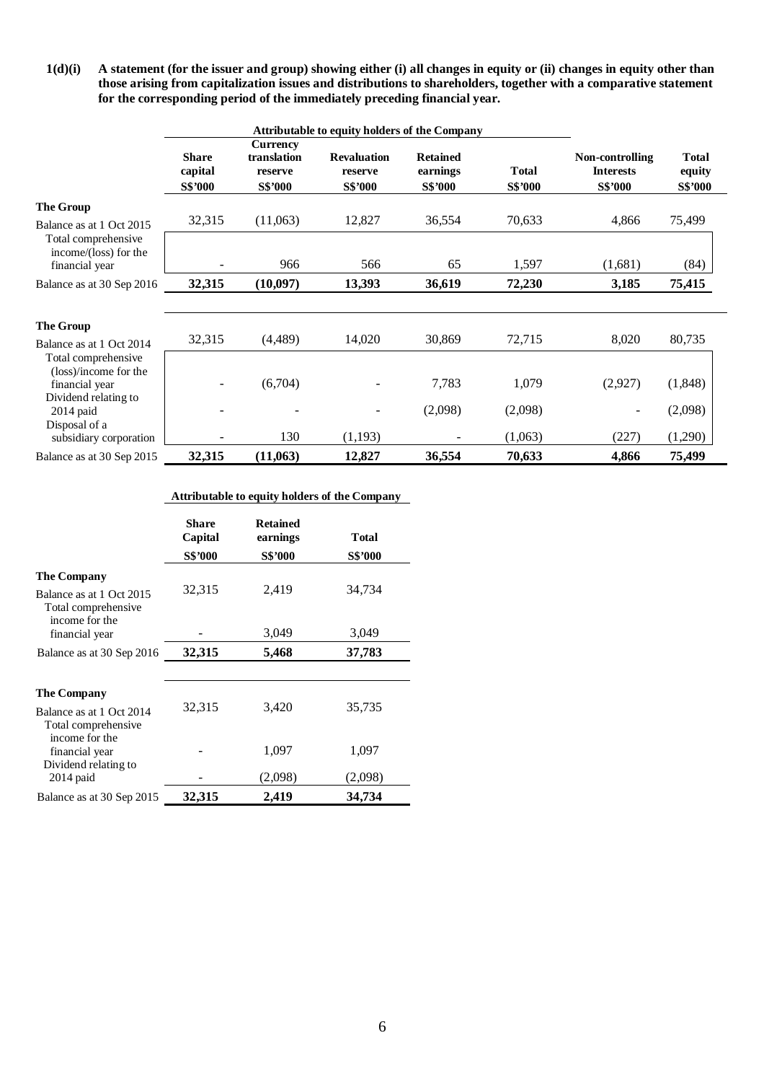**1(d)(i) A statement (for the issuer and group) showing either (i) all changes in equity or (ii) changes in equity other than those arising from capitalization issues and distributions to shareholders, together with a comparative statement for the corresponding period of the immediately preceding financial year.** 

|                                                      |                                           |                                                             | Attributable to equity holders of the Company   |                                               |                                |                                                       |                                   |
|------------------------------------------------------|-------------------------------------------|-------------------------------------------------------------|-------------------------------------------------|-----------------------------------------------|--------------------------------|-------------------------------------------------------|-----------------------------------|
|                                                      | <b>Share</b><br>capital<br><b>S\$'000</b> | <b>Currency</b><br>translation<br>reserve<br><b>S\$'000</b> | <b>Revaluation</b><br>reserve<br><b>S\$'000</b> | <b>Retained</b><br>earnings<br><b>S\$'000</b> | <b>Total</b><br><b>S\$'000</b> | Non-controlling<br><b>Interests</b><br><b>S\$'000</b> | <b>Total</b><br>equity<br>S\$'000 |
| <b>The Group</b>                                     |                                           |                                                             |                                                 |                                               |                                |                                                       |                                   |
| Balance as at 1 Oct 2015                             | 32,315                                    | (11,063)                                                    | 12,827                                          | 36,554                                        | 70,633                         | 4,866                                                 | 75,499                            |
| Total comprehensive<br>income/(loss) for the         |                                           |                                                             |                                                 |                                               |                                |                                                       |                                   |
| financial year                                       |                                           | 966                                                         | 566                                             | 65                                            | 1,597                          | (1,681)                                               | (84)                              |
| Balance as at 30 Sep 2016                            | 32,315                                    | (10,097)                                                    | 13,393                                          | 36,619                                        | 72,230                         | 3,185                                                 | 75,415                            |
|                                                      |                                           |                                                             |                                                 |                                               |                                |                                                       |                                   |
| <b>The Group</b>                                     |                                           |                                                             |                                                 | 30,869                                        |                                |                                                       |                                   |
| Balance as at 1 Oct 2014                             | 32,315                                    | (4,489)                                                     | 14,020                                          |                                               | 72,715                         | 8,020                                                 | 80,735                            |
| Total comprehensive<br>(loss)/income for the         |                                           |                                                             |                                                 |                                               |                                |                                                       |                                   |
| financial year                                       |                                           | (6,704)                                                     |                                                 | 7,783                                         | 1,079                          | (2,927)                                               | (1,848)                           |
| Dividend relating to<br>$2014$ paid<br>Disposal of a |                                           |                                                             |                                                 | (2,098)                                       | (2,098)                        |                                                       | (2,098)                           |
| subsidiary corporation                               |                                           | 130                                                         | (1,193)                                         |                                               | (1,063)                        | (227)                                                 | (1,290)                           |
| Balance as at 30 Sep 2015                            | 32,315                                    | (11,063)                                                    | 12,827                                          | 36,554                                        | 70,633                         | 4,866                                                 | 75,499                            |

|  |  |  |  |  | Attributable to equity holders of the Company |
|--|--|--|--|--|-----------------------------------------------|
|--|--|--|--|--|-----------------------------------------------|

|                                                                       | Share<br>Capital | <b>Retained</b><br>earnings | <b>Total</b>     |
|-----------------------------------------------------------------------|------------------|-----------------------------|------------------|
|                                                                       | S\$'000          | <b>S\$'000</b>              | <b>S\$'000</b>   |
| <b>The Company</b><br>Balance as at 1 Oct 2015<br>Total comprehensive | 32,315           | 2,419                       | 34,734           |
| income for the<br>financial year                                      |                  | 3,049                       | 3,049            |
| Balance as at 30 Sep 2016                                             | 32,315           | 5,468                       | 37,783           |
|                                                                       |                  |                             |                  |
| <b>The Company</b><br>Balance as at 1 Oct 2014<br>Total comprehensive | 32,315           | 3,420                       | 35,735           |
| income for the<br>financial year<br>Dividend relating to              |                  | 1,097<br>(2,098)            | 1,097<br>(2,098) |
| $2014$ paid                                                           |                  |                             |                  |
| Balance as at 30 Sep 2015                                             | 32,315           | 2,419                       | 34,734           |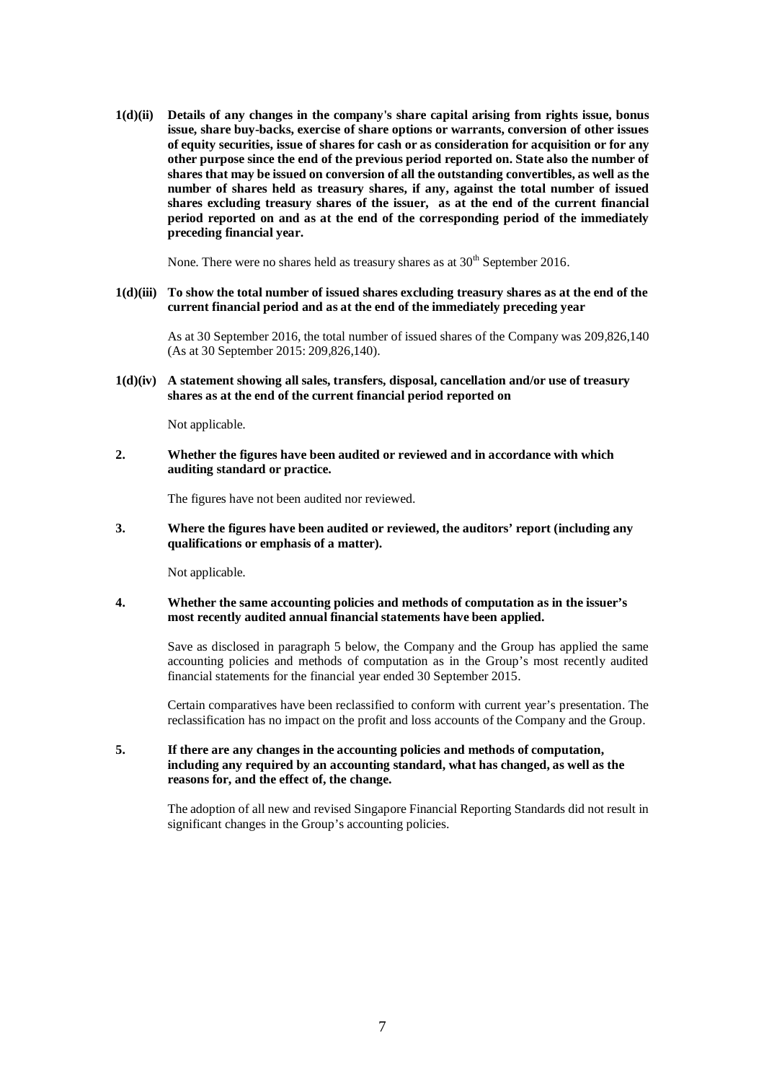**1(d)(ii) Details of any changes in the company's share capital arising from rights issue, bonus issue, share buy-backs, exercise of share options or warrants, conversion of other issues of equity securities, issue of shares for cash or as consideration for acquisition or for any other purpose since the end of the previous period reported on. State also the number of shares that may be issued on conversion of all the outstanding convertibles, as well as the number of shares held as treasury shares, if any, against the total number of issued shares excluding treasury shares of the issuer, as at the end of the current financial period reported on and as at the end of the corresponding period of the immediately preceding financial year.** 

None. There were no shares held as treasury shares as at  $30<sup>th</sup>$  September 2016.

**1(d)(iii) To show the total number of issued shares excluding treasury shares as at the end of the current financial period and as at the end of the immediately preceding year**

As at 30 September 2016, the total number of issued shares of the Company was 209,826,140 (As at 30 September 2015: 209,826,140).

**1(d)(iv) A statement showing all sales, transfers, disposal, cancellation and/or use of treasury shares as at the end of the current financial period reported on**

Not applicable.

**2. Whether the figures have been audited or reviewed and in accordance with which auditing standard or practice.** 

The figures have not been audited nor reviewed.

**3. Where the figures have been audited or reviewed, the auditors' report (including any qualifications or emphasis of a matter).** 

Not applicable.

**4. Whether the same accounting policies and methods of computation as in the issuer's most recently audited annual financial statements have been applied.** 

> Save as disclosed in paragraph 5 below, the Company and the Group has applied the same accounting policies and methods of computation as in the Group's most recently audited financial statements for the financial year ended 30 September 2015.

> Certain comparatives have been reclassified to conform with current year's presentation. The reclassification has no impact on the profit and loss accounts of the Company and the Group.

### **5. If there are any changes in the accounting policies and methods of computation, including any required by an accounting standard, what has changed, as well as the reasons for, and the effect of, the change.**

The adoption of all new and revised Singapore Financial Reporting Standards did not result in significant changes in the Group's accounting policies.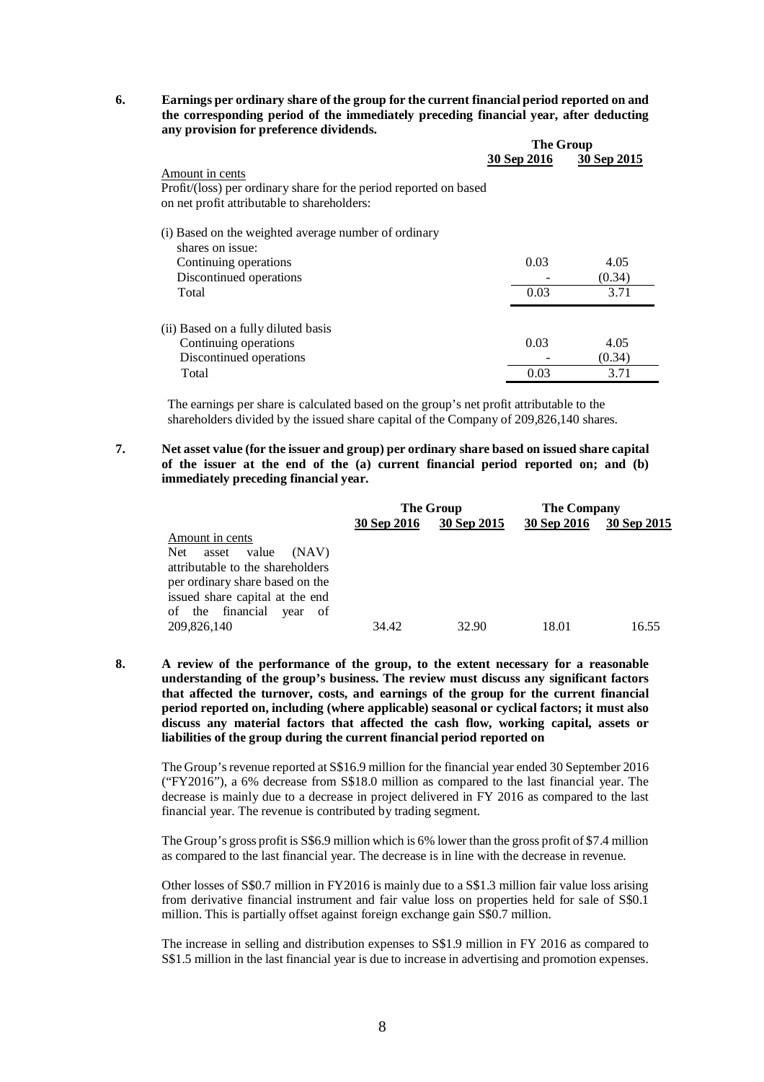**6. Earnings per ordinary share of the group for the current financial period reported on and the corresponding period of the immediately preceding financial year, after deducting any provision for preference dividends.** 

|                                                                   |             | <b>The Group</b> |  |  |
|-------------------------------------------------------------------|-------------|------------------|--|--|
|                                                                   | 30 Sep 2016 | 30 Sep 2015      |  |  |
| Amount in cents                                                   |             |                  |  |  |
| Profit/(loss) per ordinary share for the period reported on based |             |                  |  |  |
| on net profit attributable to shareholders:                       |             |                  |  |  |
| (i) Based on the weighted average number of ordinary              |             |                  |  |  |
| shares on issue:                                                  |             |                  |  |  |
| Continuing operations                                             | 0.03        | 4.05             |  |  |
| Discontinued operations                                           |             | (0.34)           |  |  |
| Total                                                             | 0.03        | 3.71             |  |  |
|                                                                   |             |                  |  |  |
| (ii) Based on a fully diluted basis                               |             |                  |  |  |
| Continuing operations                                             | 0.03        | 4.05             |  |  |
| Discontinued operations                                           |             | (0.34)           |  |  |
| Total                                                             | 0.03        | 3.71             |  |  |

The earnings per share is calculated based on the group's net profit attributable to the shareholders divided by the issued share capital of the Company of 209,826,140 shares.

**7. Net asset value (for the issuer and group) per ordinary share based on issued share capital of the issuer at the end of the (a) current financial period reported on; and (b) immediately preceding financial year.** 

|                                       | The Group   |             | <b>The Company</b> |             |
|---------------------------------------|-------------|-------------|--------------------|-------------|
|                                       | 30 Sep 2016 | 30 Sep 2015 | 30 Sep 2016        | 30 Sep 2015 |
| Amount in cents                       |             |             |                    |             |
| <b>Net</b><br>value<br>(NAV)<br>asset |             |             |                    |             |
| attributable to the shareholders      |             |             |                    |             |
| per ordinary share based on the       |             |             |                    |             |
| issued share capital at the end       |             |             |                    |             |
| of the financial<br>year<br>of        |             |             |                    |             |
| 209,826,140                           | 34.42       | 32.90       | 18.01              | 16.55       |

**8. A review of the performance of the group, to the extent necessary for a reasonable understanding of the group's business. The review must discuss any significant factors that affected the turnover, costs, and earnings of the group for the current financial period reported on, including (where applicable) seasonal or cyclical factors; it must also discuss any material factors that affected the cash flow, working capital, assets or liabilities of the group during the current financial period reported on**

The Group's revenue reported at S\$16.9 million for the financial year ended 30 September 2016 ("FY2016"), a 6% decrease from S\$18.0 million as compared to the last financial year. The decrease is mainly due to a decrease in project delivered in FY 2016 as compared to the last financial year. The revenue is contributed by trading segment.

The Group's gross profit is S\$6.9 million which is 6% lower than the gross profit of \$7.4 million as compared to the last financial year. The decrease is in line with the decrease in revenue.

Other losses of S\$0.7 million in FY2016 is mainly due to a S\$1.3 million fair value loss arising from derivative financial instrument and fair value loss on properties held for sale of S\$0.1 million. This is partially offset against foreign exchange gain S\$0.7 million.

The increase in selling and distribution expenses to S\$1.9 million in FY 2016 as compared to S\$1.5 million in the last financial year is due to increase in advertising and promotion expenses.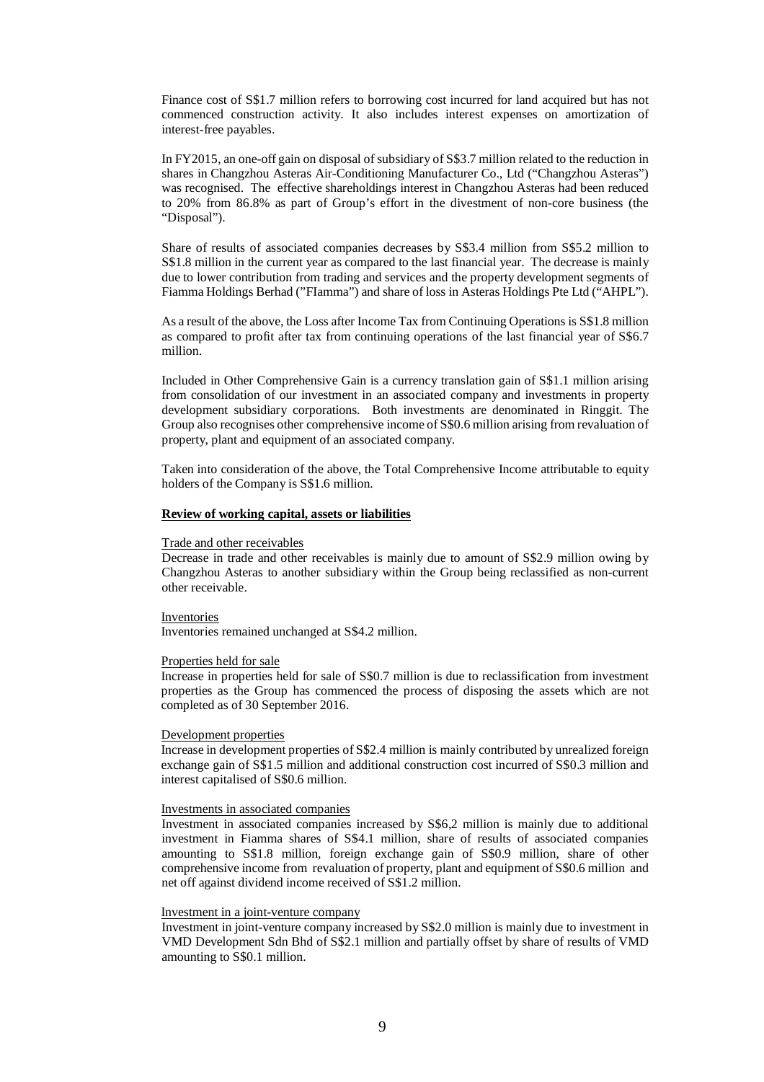Finance cost of S\$1.7 million refers to borrowing cost incurred for land acquired but has not commenced construction activity. It also includes interest expenses on amortization of interest-free payables.

In FY2015, an one-off gain on disposal of subsidiary of S\$3.7 million related to the reduction in shares in Changzhou Asteras Air-Conditioning Manufacturer Co., Ltd ("Changzhou Asteras") was recognised. The effective shareholdings interest in Changzhou Asteras had been reduced to 20% from 86.8% as part of Group's effort in the divestment of non-core business (the "Disposal").

Share of results of associated companies decreases by S\$3.4 million from S\$5.2 million to S\$1.8 million in the current year as compared to the last financial year. The decrease is mainly due to lower contribution from trading and services and the property development segments of Fiamma Holdings Berhad ("FIamma") and share of loss in Asteras Holdings Pte Ltd ("AHPL").

As a result of the above, the Loss after Income Tax from Continuing Operations is S\$1.8 million as compared to profit after tax from continuing operations of the last financial year of S\$6.7 million.

Included in Other Comprehensive Gain is a currency translation gain of S\$1.1 million arising from consolidation of our investment in an associated company and investments in property development subsidiary corporations. Both investments are denominated in Ringgit. The Group also recognises other comprehensive income of S\$0.6 million arising from revaluation of property, plant and equipment of an associated company.

Taken into consideration of the above, the Total Comprehensive Income attributable to equity holders of the Company is S\$1.6 million.

### **Review of working capital, assets or liabilities**

#### Trade and other receivables

Decrease in trade and other receivables is mainly due to amount of S\$2.9 million owing by Changzhou Asteras to another subsidiary within the Group being reclassified as non-current other receivable.

### Inventories

Inventories remained unchanged at S\$4.2 million.

#### Properties held for sale

Increase in properties held for sale of S\$0.7 million is due to reclassification from investment properties as the Group has commenced the process of disposing the assets which are not completed as of 30 September 2016.

#### Development properties

Increase in development properties of S\$2.4 million is mainly contributed by unrealized foreign exchange gain of S\$1.5 million and additional construction cost incurred of S\$0.3 million and interest capitalised of S\$0.6 million.

#### Investments in associated companies

Investment in associated companies increased by S\$6,2 million is mainly due to additional investment in Fiamma shares of S\$4.1 million, share of results of associated companies amounting to S\$1.8 million, foreign exchange gain of S\$0.9 million, share of other comprehensive income from revaluation of property, plant and equipment of S\$0.6 million and net off against dividend income received of S\$1.2 million.

### Investment in a joint-venture company

Investment in joint-venture company increased by S\$2.0 million is mainly due to investment in VMD Development Sdn Bhd of S\$2.1 million and partially offset by share of results of VMD amounting to S\$0.1 million.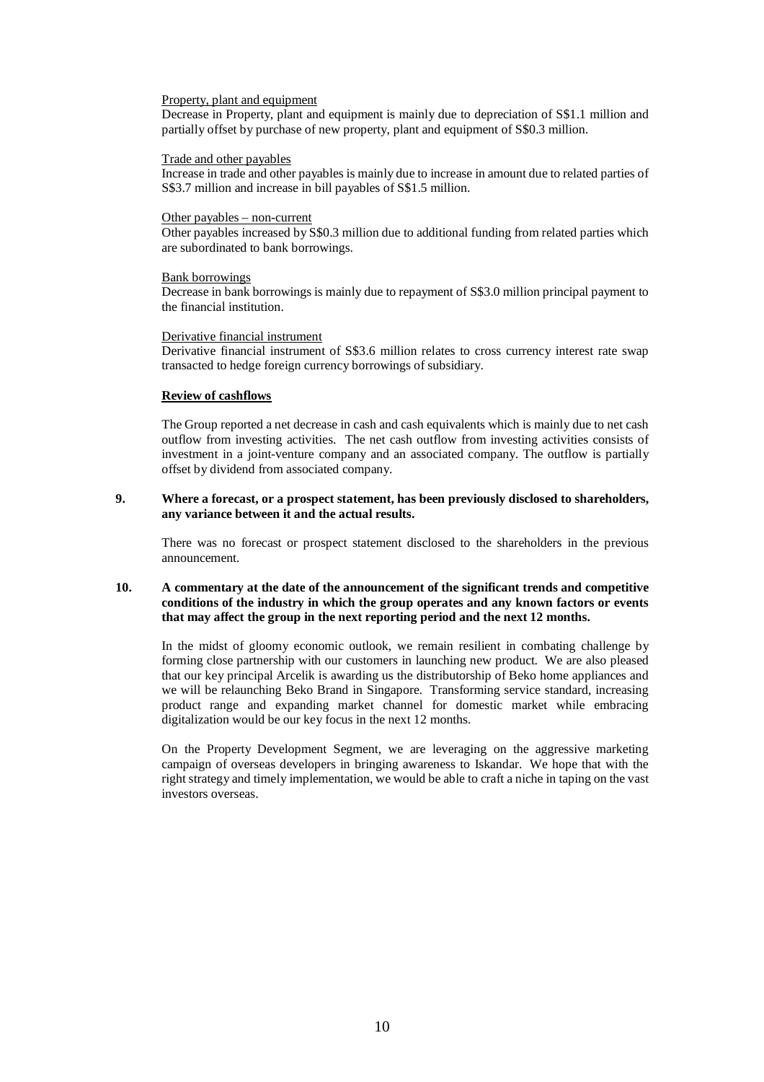#### Property, plant and equipment

Decrease in Property, plant and equipment is mainly due to depreciation of S\$1.1 million and partially offset by purchase of new property, plant and equipment of S\$0.3 million.

### Trade and other payables

Increase in trade and other payables is mainly due to increase in amount due to related parties of S\$3.7 million and increase in bill payables of S\$1.5 million.

### Other payables – non-current

Other payables increased by S\$0.3 million due to additional funding from related parties which are subordinated to bank borrowings.

#### Bank borrowings

Decrease in bank borrowings is mainly due to repayment of S\$3.0 million principal payment to the financial institution.

### Derivative financial instrument

Derivative financial instrument of S\$3.6 million relates to cross currency interest rate swap transacted to hedge foreign currency borrowings of subsidiary.

### **Review of cashflows**

The Group reported a net decrease in cash and cash equivalents which is mainly due to net cash outflow from investing activities. The net cash outflow from investing activities consists of investment in a joint-venture company and an associated company. The outflow is partially offset by dividend from associated company.

### **9. Where a forecast, or a prospect statement, has been previously disclosed to shareholders, any variance between it and the actual results.**

There was no forecast or prospect statement disclosed to the shareholders in the previous announcement.

## **10. A commentary at the date of the announcement of the significant trends and competitive conditions of the industry in which the group operates and any known factors or events that may affect the group in the next reporting period and the next 12 months.**

In the midst of gloomy economic outlook, we remain resilient in combating challenge by forming close partnership with our customers in launching new product. We are also pleased that our key principal Arcelik is awarding us the distributorship of Beko home appliances and we will be relaunching Beko Brand in Singapore. Transforming service standard, increasing product range and expanding market channel for domestic market while embracing digitalization would be our key focus in the next 12 months.

On the Property Development Segment, we are leveraging on the aggressive marketing campaign of overseas developers in bringing awareness to Iskandar. We hope that with the right strategy and timely implementation, we would be able to craft a niche in taping on the vast investors overseas.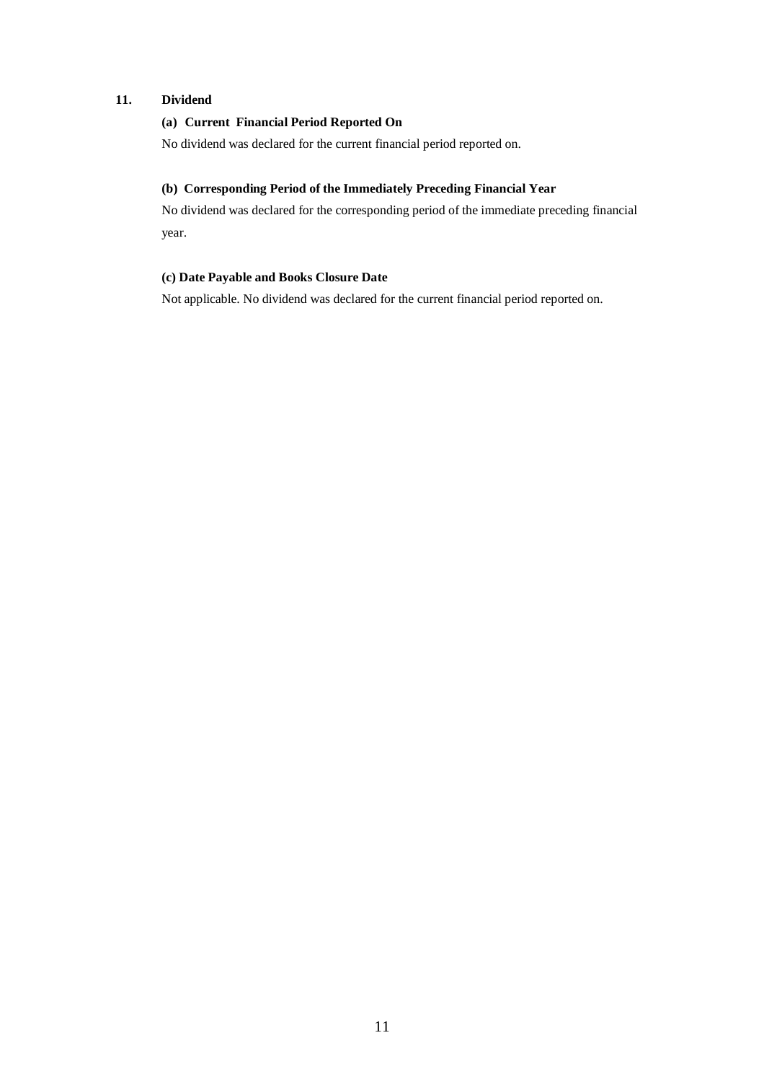# **11. Dividend**

# **(a) Current Financial Period Reported On**

No dividend was declared for the current financial period reported on.

# **(b) Corresponding Period of the Immediately Preceding Financial Year**

No dividend was declared for the corresponding period of the immediate preceding financial year.

# **(c) Date Payable and Books Closure Date**

Not applicable. No dividend was declared for the current financial period reported on.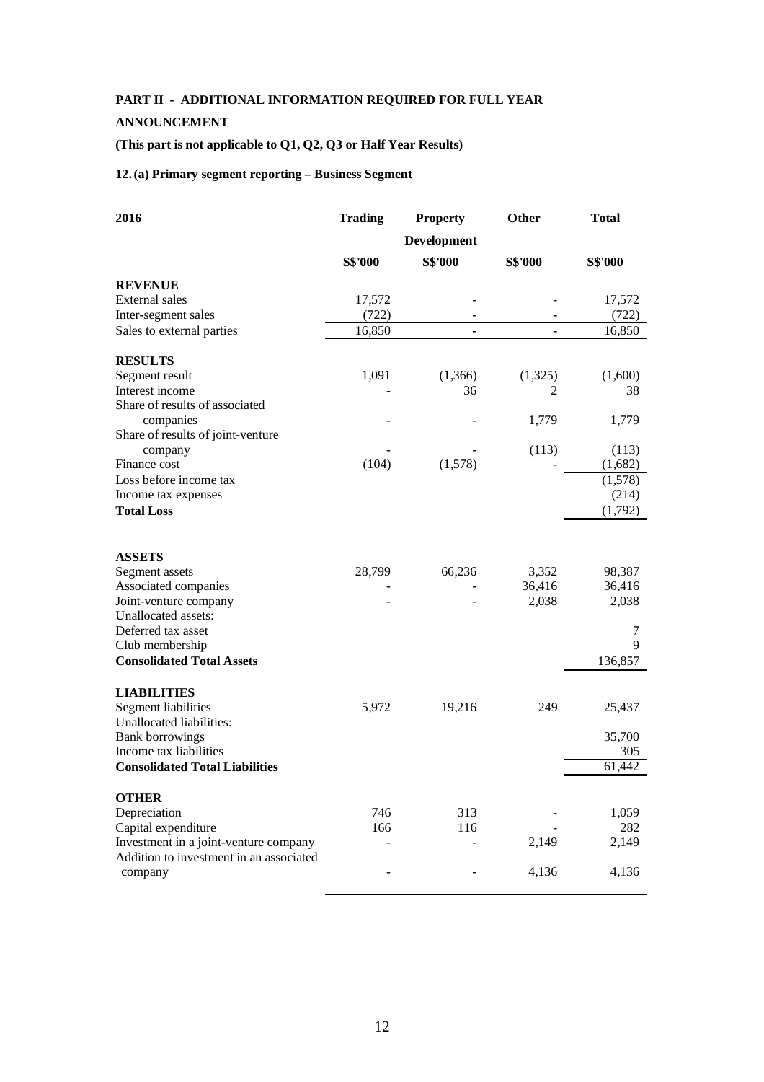# **PART II - ADDITIONAL INFORMATION REQUIRED FOR FULL YEAR**

# **ANNOUNCEMENT**

# **(This part is not applicable to Q1, Q2, Q3 or Half Year Results)**

# **12.(a) Primary segment reporting – Business Segment**

| 2016                                        | <b>Trading</b> | <b>Property</b>    | Other          | <b>Total</b>   |  |
|---------------------------------------------|----------------|--------------------|----------------|----------------|--|
|                                             |                | <b>Development</b> |                |                |  |
|                                             | <b>S\$'000</b> | <b>S\$'000</b>     | <b>S\$'000</b> | <b>S\$'000</b> |  |
| <b>REVENUE</b>                              |                |                    |                |                |  |
| External sales                              | 17,572         |                    |                | 17,572         |  |
| Inter-segment sales                         | (722)          |                    |                | (722)          |  |
| Sales to external parties                   | 16,850         | $\blacksquare$     |                | 16,850         |  |
| <b>RESULTS</b>                              |                |                    |                |                |  |
| Segment result                              | 1,091          | (1,366)            | (1,325)        | (1,600)        |  |
| Interest income                             |                | 36                 | 2              | 38             |  |
| Share of results of associated<br>companies |                |                    | 1,779          | 1,779          |  |
| Share of results of joint-venture           |                |                    |                |                |  |
| company                                     |                |                    | (113)          | (113)          |  |
| Finance cost                                | (104)          | (1,578)            |                | (1,682)        |  |
| Loss before income tax                      |                |                    |                | (1,578)        |  |
| Income tax expenses                         |                |                    |                | (214)          |  |
| <b>Total Loss</b>                           |                |                    |                | (1,792)        |  |
|                                             |                |                    |                |                |  |
| <b>ASSETS</b>                               |                |                    |                |                |  |
| Segment assets                              | 28,799         | 66,236             | 3,352          | 98,387         |  |
| Associated companies                        |                |                    | 36,416         | 36,416         |  |
| Joint-venture company                       |                |                    | 2,038          | 2,038          |  |
| Unallocated assets:                         |                |                    |                |                |  |
| Deferred tax asset                          |                |                    |                | 7              |  |
| Club membership                             |                |                    |                | 9              |  |
| <b>Consolidated Total Assets</b>            |                |                    |                | 136,857        |  |
| <b>LIABILITIES</b>                          |                |                    |                |                |  |
| Segment liabilities                         | 5,972          | 19,216             | 249            | 25,437         |  |
| Unallocated liabilities:                    |                |                    |                |                |  |
| <b>Bank borrowings</b>                      |                |                    |                | 35,700         |  |
| Income tax liabilities                      |                |                    |                | 305            |  |
| <b>Consolidated Total Liabilities</b>       |                |                    |                | 61,442         |  |
| <b>OTHER</b>                                |                |                    |                |                |  |
| Depreciation                                | 746            | 313                |                | 1,059          |  |
| Capital expenditure                         | 166            | 116                |                | 282            |  |
| Investment in a joint-venture company       |                |                    | 2,149          | 2,149          |  |
| Addition to investment in an associated     |                |                    |                |                |  |
| company                                     |                |                    | 4,136          | 4,136          |  |
|                                             |                |                    |                |                |  |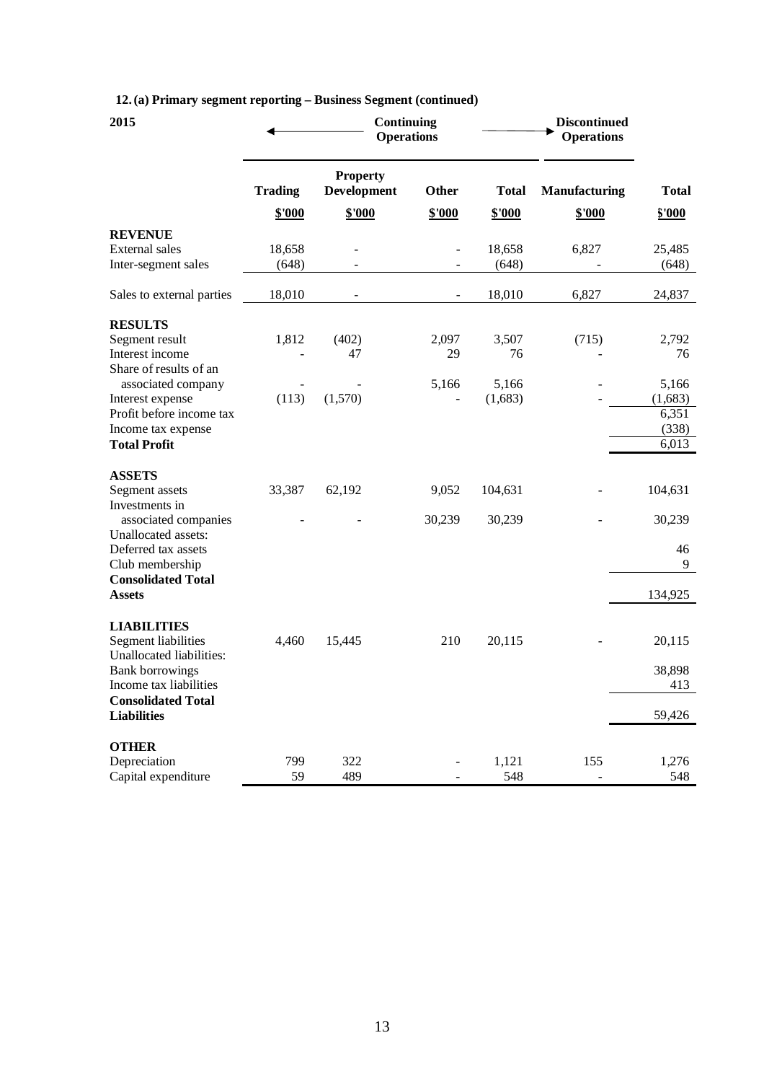|  |  |  | 12. (a) Primary segment reporting - Business Segment (continued) |
|--|--|--|------------------------------------------------------------------|
|  |  |  |                                                                  |

| 2015                                                                                                                                                                                | Continuing<br><b>Operations</b> |                                       |                          | <b>Discontinued</b><br><b>Operations</b> |                         |                                             |
|-------------------------------------------------------------------------------------------------------------------------------------------------------------------------------------|---------------------------------|---------------------------------------|--------------------------|------------------------------------------|-------------------------|---------------------------------------------|
|                                                                                                                                                                                     | <b>Trading</b>                  | <b>Property</b><br><b>Development</b> | <b>Other</b>             | <b>Total</b>                             | <b>Manufacturing</b>    | Total                                       |
|                                                                                                                                                                                     | \$'000                          | \$'000                                | \$'000                   | \$'000                                   | \$'000                  | \$'000                                      |
| <b>REVENUE</b><br><b>External sales</b><br>Inter-segment sales                                                                                                                      | 18,658<br>(648)                 | $\overline{\phantom{a}}$              | $\overline{\phantom{a}}$ | 18,658<br>(648)                          | 6,827<br>$\overline{a}$ | 25,485<br>(648)                             |
| Sales to external parties                                                                                                                                                           | 18,010                          |                                       |                          | 18,010                                   | 6,827                   | 24,837                                      |
| <b>RESULTS</b><br>Segment result<br>Interest income<br>Share of results of an                                                                                                       | 1,812                           | (402)<br>47                           | 2,097<br>29              | 3,507<br>76                              | (715)                   | 2,792<br>76                                 |
| associated company<br>Interest expense<br>Profit before income tax<br>Income tax expense<br><b>Total Profit</b>                                                                     | (113)                           | (1,570)                               | 5,166                    | 5,166<br>(1,683)                         |                         | 5,166<br>(1,683)<br>6,351<br>(338)<br>6,013 |
| <b>ASSETS</b><br>Segment assets<br>Investments in<br>associated companies                                                                                                           | 33,387                          | 62,192                                | 9,052<br>30,239          | 104,631<br>30,239                        |                         | 104,631<br>30,239                           |
| Unallocated assets:<br>Deferred tax assets<br>Club membership<br><b>Consolidated Total</b><br><b>Assets</b>                                                                         |                                 |                                       |                          |                                          |                         | 46<br>9<br>134,925                          |
| <b>LIABILITIES</b><br><b>Segment liabilities</b><br>Unallocated liabilities:<br><b>Bank borrowings</b><br>Income tax liabilities<br><b>Consolidated Total</b><br><b>Liabilities</b> | 4,460                           | 15,445                                | 210                      | 20,115                                   |                         | 20,115<br>38,898<br>413<br>59,426           |
| <b>OTHER</b><br>Depreciation<br>Capital expenditure                                                                                                                                 | 799<br>59                       | 322<br>489                            |                          | 1,121<br>548                             | 155                     | 1,276<br>548                                |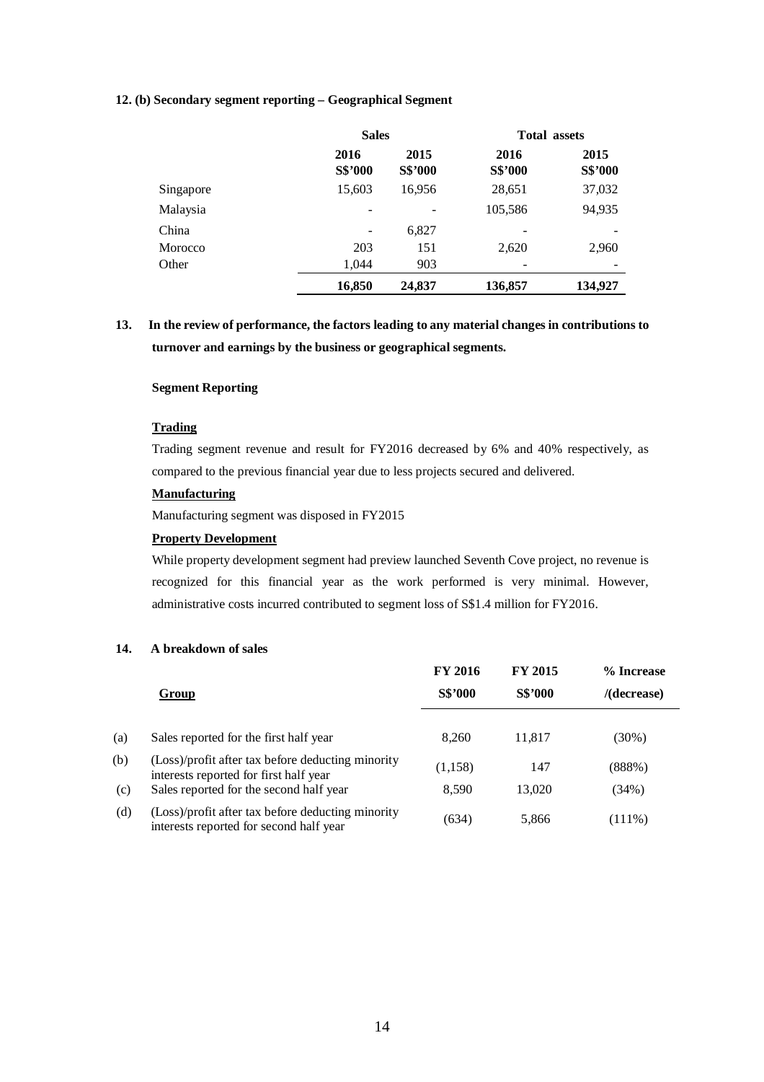### **12. (b) Secondary segment reporting – Geographical Segment**

|           | <b>Sales</b>    |                 | <b>Total assets</b> |                 |
|-----------|-----------------|-----------------|---------------------|-----------------|
|           | 2016<br>S\$'000 | 2015<br>S\$'000 | 2016<br>S\$'000     | 2015<br>S\$'000 |
| Singapore | 15,603          | 16,956          | 28,651              | 37,032          |
| Malaysia  |                 |                 | 105,586             | 94,935          |
| China     |                 | 6,827           |                     |                 |
| Morocco   | 203             | 151             | 2,620               | 2,960           |
| Other     | 1,044           | 903             |                     |                 |
|           | 16,850          | 24,837          | 136,857             | 134,927         |

# **13. In the review of performance, the factors leading to any material changes in contributions to turnover and earnings by the business or geographical segments.**

## **Segment Reporting**

## **Trading**

Trading segment revenue and result for FY2016 decreased by 6% and 40% respectively, as compared to the previous financial year due to less projects secured and delivered.

### **Manufacturing**

Manufacturing segment was disposed in FY2015

## **Property Development**

While property development segment had preview launched Seventh Cove project, no revenue is recognized for this financial year as the work performed is very minimal. However, administrative costs incurred contributed to segment loss of S\$1.4 million for FY2016.

### **14. A breakdown of sales**

|     |                                                                                              | <b>FY 2016</b> | <b>FY 2015</b> | % Increase     |
|-----|----------------------------------------------------------------------------------------------|----------------|----------------|----------------|
|     | Group                                                                                        | <b>S\$'000</b> | <b>S\$'000</b> | $/$ (decrease) |
|     |                                                                                              |                |                |                |
| (a) | Sales reported for the first half year                                                       | 8,260          | 11,817         | $(30\%)$       |
| (b) | (Loss)/profit after tax before deducting minority<br>interests reported for first half year  | (1,158)        | 147            | (888%)         |
| (c) | Sales reported for the second half year                                                      | 8,590          | 13,020         | (34%)          |
| (d) | (Loss)/profit after tax before deducting minority<br>interests reported for second half year | (634)          | 5,866          | $(111\%)$      |